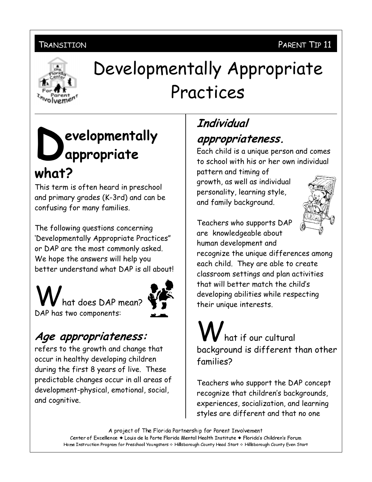#### PARENT TIP 11

#### TRANSITION



# Developmentally Appropriate Practices

# evelopmentally appropriate what?

This term is often heard in preschool and primary grades (K-3rd) and can be confusing for many families.

The following questions concerning 'Developmentally Appropriate Practices" or DAP are the most commonly asked. We hope the answers will help you better understand what DAP is all about

hat does DAP mean? DAP has two components:



### Age appropriateness:

refers to the growth and change that occur in healthy developing children during the first 8 years of live. These predictable changes occur in all areas of development-physical, emotional, social, and cognitive.

## Individual appropriateness.

Each child is a unique person and comes to school with his or her own individual

pattern and timing of growth, as well as individual personality, learning style, and family background.



Teachers who supports DAP are knowledgeable about

human development and recognize the unique differences among each child. They are able to create classroom settings and plan activities that will better match the child's developing abilities while respecting their unique interests.

# hat if our cultural background is different than other families?

Teachers who support the DAP concept recognize that children's backgrounds, experiences, socialization, and learning styles are different and that no one

A project of The Florida Partnership for Parent Involvement

Center of Excellence + Louis de la Parte Florida Mental Health Institute + Florida's Children's Forum Home Instruction Program for Preschool Youngsters & Hillsborough County Head Start & Hillsborough County Even Start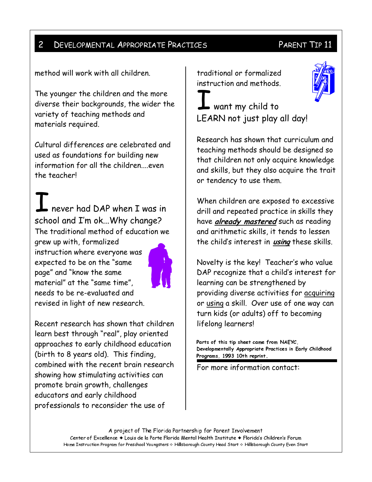#### $\overline{2}$ **DEVELOPMENTAL APPROPRIATE PRACTICES**

#### PARENT TIP 11

method will work with all children.

The younger the children and the more diverse their backgrounds, the wider the variety of teaching methods and materials required.

Cultural differences are celebrated and used as foundations for building new information for all the children....even the teacher!

never had DAP when I was in school and I'm ok...Why change? The traditional method of education we grew up with, formalized instruction where everyone was expected to be on the "same page" and "know the same material" at the "same time", needs to be re-evaluated and revised in light of new research.



Recent research has shown that children learn best through "real", play oriented approaches to early childhood education (birth to 8 years old). This finding, combined with the recent brain research showing how stimulating activities can promote brain growth, challenges educators and early childhood professionals to reconsider the use of

traditional or formalized instruction and methods.

 $\blacktriangle$  want my child to LEARN not just play all day!

Research has shown that curriculum and teaching methods should be designed so that children not only acquire knowledge and skills, but they also acquire the trait or tendency to use them.

When children are exposed to excessive drill and repeated practice in skills they have already mastered such as reading and arithmetic skills, it tends to lessen the child's interest in *using* these skills.

Novelty is the key! Teacher's who value DAP recognize that a child's interest for learning can be strengthened by providing diverse activities for acquiring or using a skill. Over use of one way can turn kids (or adults) off to becoming lifelong learners!

Parts of this tip sheet came from NAEYC, Developmentally Appropriate Practices in Early Childhood Programs, 1993 10th reprint.

For more information contact:

A project of The Florida Partnership for Parent Involvement Center of Excellence + Louis de la Parte Florida Mental Health Institute + Florida's Children's Forum Home Instruction Program for Preschool Youngsters & Hillsborough County Head Start & Hillsborough County Even Start